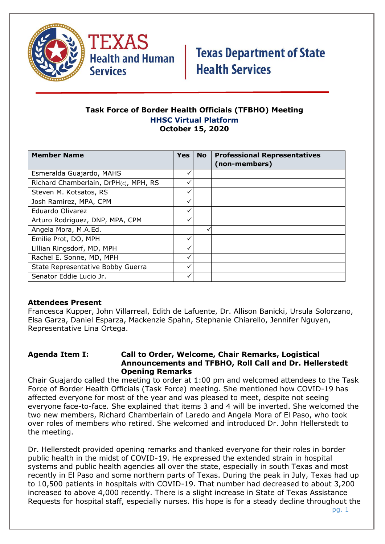

TEXAS **Health and Human Services** 

# **Texas Department of State Health Services**

## **Task Force of Border Health Officials (TFBHO) Meeting HHSC Virtual Platform October 15, 2020**

| <b>Member Name</b>                    | Yes | <b>No</b> | <b>Professional Representatives</b><br>(non-members) |
|---------------------------------------|-----|-----------|------------------------------------------------------|
| Esmeralda Guajardo, MAHS              |     |           |                                                      |
| Richard Chamberlain, DrPH(c), MPH, RS |     |           |                                                      |
| Steven M. Kotsatos, RS                |     |           |                                                      |
| Josh Ramirez, MPA, CPM                |     |           |                                                      |
| Eduardo Olivarez                      |     |           |                                                      |
| Arturo Rodriguez, DNP, MPA, CPM       | ✓   |           |                                                      |
| Angela Mora, M.A.Ed.                  |     | v         |                                                      |
| Emilie Prot, DO, MPH                  | ✓   |           |                                                      |
| Lillian Ringsdorf, MD, MPH            |     |           |                                                      |
| Rachel E. Sonne, MD, MPH              |     |           |                                                      |
| State Representative Bobby Guerra     | ✓   |           |                                                      |
| Senator Eddie Lucio Jr.               |     |           |                                                      |

## **Attendees Present**

Francesca Kupper, John Villarreal, Edith de Lafuente, Dr. Allison Banicki, Ursula Solorzano, Elsa Garza, Daniel Esparza, Mackenzie Spahn, Stephanie Chiarello, Jennifer Nguyen, Representative Lina Ortega.

#### **Agenda Item I: Call to Order, Welcome, Chair Remarks, Logistical Announcements and TFBHO, Roll Call and Dr. Hellerstedt Opening Remarks**

Chair Guajardo called the meeting to order at 1:00 pm and welcomed attendees to the Task Force of Border Health Officials (Task Force) meeting. She mentioned how COVID-19 has affected everyone for most of the year and was pleased to meet, despite not seeing everyone face-to-face. She explained that items 3 and 4 will be inverted. She welcomed the two new members, Richard Chamberlain of Laredo and Angela Mora of El Paso, who took over roles of members who retired. She welcomed and introduced Dr. John Hellerstedt to the meeting.

Dr. Hellerstedt provided opening remarks and thanked everyone for their roles in border public health in the midst of COVID-19. He expressed the extended strain in hospital systems and public health agencies all over the state, especially in south Texas and most recently in El Paso and some northern parts of Texas. During the peak in July, Texas had up to 10,500 patients in hospitals with COVID-19. That number had decreased to about 3,200 increased to above 4,000 recently. There is a slight increase in State of Texas Assistance Requests for hospital staff, especially nurses. His hope is for a steady decline throughout the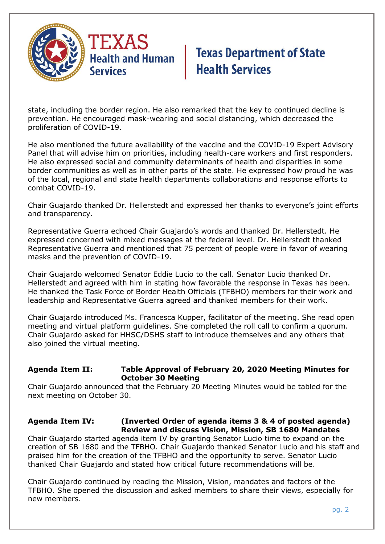

state, including the border region. He also remarked that the key to continued decline is prevention. He encouraged mask-wearing and social distancing, which decreased the proliferation of COVID-19.

He also mentioned the future availability of the vaccine and the COVID-19 Expert Advisory Panel that will advise him on priorities, including health-care workers and first responders. He also expressed social and community determinants of health and disparities in some border communities as well as in other parts of the state. He expressed how proud he was of the local, regional and state health departments collaborations and response efforts to combat COVID-19.

Chair Guajardo thanked Dr. Hellerstedt and expressed her thanks to everyone's joint efforts and transparency.

Representative Guerra echoed Chair Guajardo's words and thanked Dr. Hellerstedt. He expressed concerned with mixed messages at the federal level. Dr. Hellerstedt thanked Representative Guerra and mentioned that 75 percent of people were in favor of wearing masks and the prevention of COVID-19.

Chair Guajardo welcomed Senator Eddie Lucio to the call. Senator Lucio thanked Dr. Hellerstedt and agreed with him in stating how favorable the response in Texas has been. He thanked the Task Force of Border Health Officials (TFBHO) members for their work and leadership and Representative Guerra agreed and thanked members for their work.

Chair Guajardo introduced Ms. Francesca Kupper, facilitator of the meeting. She read open meeting and virtual platform guidelines. She completed the roll call to confirm a quorum. Chair Guajardo asked for HHSC/DSHS staff to introduce themselves and any others that also joined the virtual meeting.

#### **Agenda Item II: Table Approval of February 20, 2020 Meeting Minutes for October 30 Meeting**

Chair Guajardo announced that the February 20 Meeting Minutes would be tabled for the next meeting on October 30.

## **Agenda Item IV: (Inverted Order of agenda items 3 & 4 of posted agenda) Review and discuss Vision, Mission, SB 1680 Mandates**

Chair Guajardo started agenda item IV by granting Senator Lucio time to expand on the creation of SB 1680 and the TFBHO. Chair Guajardo thanked Senator Lucio and his staff and praised him for the creation of the TFBHO and the opportunity to serve. Senator Lucio thanked Chair Guajardo and stated how critical future recommendations will be.

Chair Guajardo continued by reading the Mission, Vision, mandates and factors of the TFBHO. She opened the discussion and asked members to share their views, especially for new members.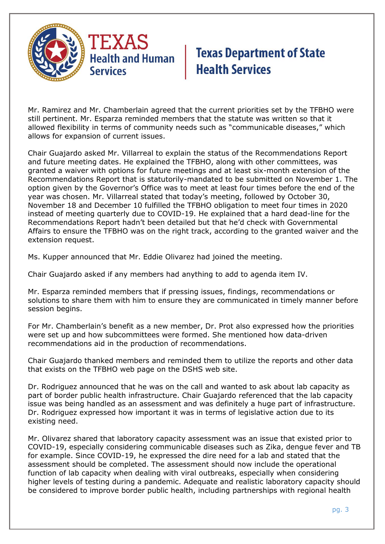

Mr. Ramirez and Mr. Chamberlain agreed that the current priorities set by the TFBHO were still pertinent. Mr. Esparza reminded members that the statute was written so that it allowed flexibility in terms of community needs such as "communicable diseases," which allows for expansion of current issues.

Chair Guajardo asked Mr. Villarreal to explain the status of the Recommendations Report and future meeting dates. He explained the TFBHO, along with other committees, was granted a waiver with options for future meetings and at least six-month extension of the Recommendations Report that is statutorily-mandated to be submitted on November 1. The option given by the Governor's Office was to meet at least four times before the end of the year was chosen. Mr. Villarreal stated that today's meeting, followed by October 30, November 18 and December 10 fulfilled the TFBHO obligation to meet four times in 2020 instead of meeting quarterly due to COVID-19. He explained that a hard dead-line for the Recommendations Report hadn't been detailed but that he'd check with Governmental Affairs to ensure the TFBHO was on the right track, according to the granted waiver and the extension request.

Ms. Kupper announced that Mr. Eddie Olivarez had joined the meeting.

Chair Guajardo asked if any members had anything to add to agenda item IV.

Mr. Esparza reminded members that if pressing issues, findings, recommendations or solutions to share them with him to ensure they are communicated in timely manner before session begins.

For Mr. Chamberlain's benefit as a new member, Dr. Prot also expressed how the priorities were set up and how subcommittees were formed. She mentioned how data-driven recommendations aid in the production of recommendations.

Chair Guajardo thanked members and reminded them to utilize the reports and other data that exists on the TFBHO web page on the DSHS web site.

Dr. Rodriguez announced that he was on the call and wanted to ask about lab capacity as part of border public health infrastructure. Chair Guajardo referenced that the lab capacity issue was being handled as an assessment and was definitely a huge part of infrastructure. Dr. Rodriguez expressed how important it was in terms of legislative action due to its existing need.

Mr. Olivarez shared that laboratory capacity assessment was an issue that existed prior to COVID-19, especially considering communicable diseases such as Zika, dengue fever and TB for example. Since COVID-19, he expressed the dire need for a lab and stated that the assessment should be completed. The assessment should now include the operational function of lab capacity when dealing with viral outbreaks, especially when considering higher levels of testing during a pandemic. Adequate and realistic laboratory capacity should be considered to improve border public health, including partnerships with regional health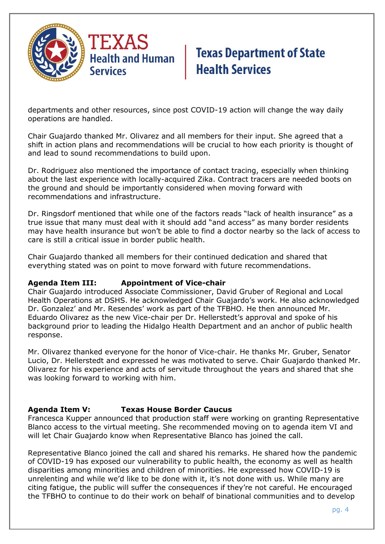

departments and other resources, since post COVID-19 action will change the way daily operations are handled.

Chair Guajardo thanked Mr. Olivarez and all members for their input. She agreed that a shift in action plans and recommendations will be crucial to how each priority is thought of and lead to sound recommendations to build upon.

Dr. Rodriguez also mentioned the importance of contact tracing, especially when thinking about the last experience with locally-acquired Zika. Contract tracers are needed boots on the ground and should be importantly considered when moving forward with recommendations and infrastructure.

Dr. Ringsdorf mentioned that while one of the factors reads "lack of health insurance" as a true issue that many must deal with it should add "and access" as many border residents may have health insurance but won't be able to find a doctor nearby so the lack of access to care is still a critical issue in border public health.

Chair Guajardo thanked all members for their continued dedication and shared that everything stated was on point to move forward with future recommendations.

## **Agenda Item III: Appointment of Vice-chair**

Chair Guajardo introduced Associate Commissioner, David Gruber of Regional and Local Health Operations at DSHS. He acknowledged Chair Guajardo's work. He also acknowledged Dr. Gonzalez' and Mr. Resendes' work as part of the TFBHO. He then announced Mr. Eduardo Olivarez as the new Vice-chair per Dr. Hellerstedt's approval and spoke of his background prior to leading the Hidalgo Health Department and an anchor of public health response.

Mr. Olivarez thanked everyone for the honor of Vice-chair. He thanks Mr. Gruber, Senator Lucio, Dr. Hellerstedt and expressed he was motivated to serve. Chair Guajardo thanked Mr. Olivarez for his experience and acts of servitude throughout the years and shared that she was looking forward to working with him.

## **Agenda Item V: Texas House Border Caucus**

Francesca Kupper announced that production staff were working on granting Representative Blanco access to the virtual meeting. She recommended moving on to agenda item VI and will let Chair Guajardo know when Representative Blanco has joined the call.

Representative Blanco joined the call and shared his remarks. He shared how the pandemic of COVID-19 has exposed our vulnerability to public health, the economy as well as health disparities among minorities and children of minorities. He expressed how COVID-19 is unrelenting and while we'd like to be done with it, it's not done with us. While many are citing fatigue, the public will suffer the consequences if they're not careful. He encouraged the TFBHO to continue to do their work on behalf of binational communities and to develop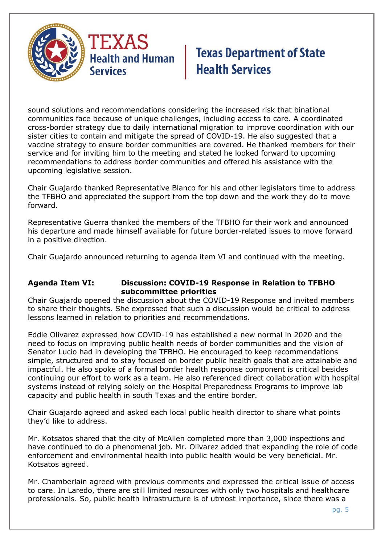

sound solutions and recommendations considering the increased risk that binational communities face because of unique challenges, including access to care. A coordinated cross-border strategy due to daily international migration to improve coordination with our sister cities to contain and mitigate the spread of COVID-19. He also suggested that a vaccine strategy to ensure border communities are covered. He thanked members for their service and for inviting him to the meeting and stated he looked forward to upcoming recommendations to address border communities and offered his assistance with the upcoming legislative session.

Chair Guajardo thanked Representative Blanco for his and other legislators time to address the TFBHO and appreciated the support from the top down and the work they do to move forward.

Representative Guerra thanked the members of the TFBHO for their work and announced his departure and made himself available for future border-related issues to move forward in a positive direction.

Chair Guajardo announced returning to agenda item VI and continued with the meeting.

## **Agenda Item VI: Discussion: COVID-19 Response in Relation to TFBHO subcommittee priorities**

Chair Guajardo opened the discussion about the COVID-19 Response and invited members to share their thoughts. She expressed that such a discussion would be critical to address lessons learned in relation to priorities and recommendations.

Eddie Olivarez expressed how COVID-19 has established a new normal in 2020 and the need to focus on improving public health needs of border communities and the vision of Senator Lucio had in developing the TFBHO. He encouraged to keep recommendations simple, structured and to stay focused on border public health goals that are attainable and impactful. He also spoke of a formal border health response component is critical besides continuing our effort to work as a team. He also referenced direct collaboration with hospital systems instead of relying solely on the Hospital Preparedness Programs to improve lab capacity and public health in south Texas and the entire border.

Chair Guajardo agreed and asked each local public health director to share what points they'd like to address.

Mr. Kotsatos shared that the city of McAllen completed more than 3,000 inspections and have continued to do a phenomenal job. Mr. Olivarez added that expanding the role of code enforcement and environmental health into public health would be very beneficial. Mr. Kotsatos agreed.

Mr. Chamberlain agreed with previous comments and expressed the critical issue of access to care. In Laredo, there are still limited resources with only two hospitals and healthcare professionals. So, public health infrastructure is of utmost importance, since there was a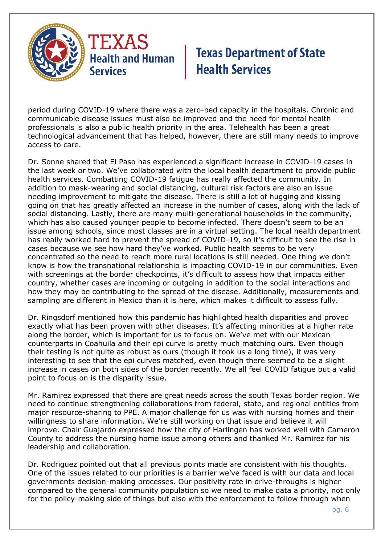

period during COVID-19 where there was a zero-bed capacity in the hospitals. Chronic and communicable disease issues must also be improved and the need for mental health professionals is also a public health priority in the area. Telehealth has been a great technological advancement that has helped, however, there are still many needs to improve access to care.

Dr. Sonne shared that El Paso has experienced a significant increase in COVID-19 cases in the last week or two. We've collaborated with the local health department to provide public health services. Combatting COVID-19 fatigue has really affected the community. In addition to mask-wearing and social distancing, cultural risk factors are also an issue needing improvement to mitigate the disease. There is still a lot of hugging and kissing going on that has greatly affected an increase in the number of cases, along with the lack of social distancing. Lastly, there are many multi-generational households in the community, which has also caused younger people to become infected. There doesn't seem to be an issue among schools, since most classes are in a virtual setting. The local health department has really worked hard to prevent the spread of COVID-19, so it's difficult to see the rise in cases because we see how hard they've worked. Public health seems to be very concentrated so the need to reach more rural locations is still needed. One thing we don't know is how the transnational relationship is impacting COVID-19 in our communities. Even with screenings at the border checkpoints, it's difficult to assess how that impacts either country, whether cases are incoming or outgoing in addition to the social interactions and how they may be contributing to the spread of the disease. Additionally, measurements and sampling are different in Mexico than it is here, which makes it difficult to assess fully.

Dr. Ringsdorf mentioned how this pandemic has highlighted health disparities and proved exactly what has been proven with other diseases. It's affecting minorities at a higher rate along the border, which is important for us to focus on. We've met with our Mexican counterparts in Coahuila and their epi curve is pretty much matching ours. Even though their testing is not quite as robust as ours (though it took us a long time), it was very interesting to see that the epi curves matched, even though there seemed to be a slight increase in cases on both sides of the border recently. We all feel COVID fatigue but a valid point to focus on is the disparity issue.

Mr. Ramirez expressed that there are great needs across the south Texas border region. We need to continue strengthening collaborations from federal, state, and regional entities from major resource-sharing to PPE. A major challenge for us was with nursing homes and their willingness to share information. We're still working on that issue and believe it will improve. Chair Guajardo expressed how the city of Harlingen has worked well with Cameron County to address the nursing home issue among others and thanked Mr. Ramirez for his leadership and collaboration.

Dr. Rodriguez pointed out that all previous points made are consistent with his thoughts. One of the issues related to our priorities is a barrier we've faced is with our data and local governments decision-making processes. Our positivity rate in drive-throughs is higher compared to the general community population so we need to make data a priority, not only for the policy-making side of things but also with the enforcement to follow through when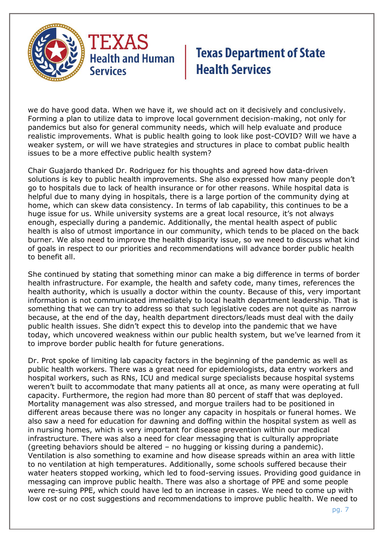

we do have good data. When we have it, we should act on it decisively and conclusively. Forming a plan to utilize data to improve local government decision-making, not only for pandemics but also for general community needs, which will help evaluate and produce realistic improvements. What is public health going to look like post-COVID? Will we have a weaker system, or will we have strategies and structures in place to combat public health issues to be a more effective public health system?

Chair Guajardo thanked Dr. Rodriguez for his thoughts and agreed how data-driven solutions is key to public health improvements. She also expressed how many people don't go to hospitals due to lack of health insurance or for other reasons. While hospital data is helpful due to many dying in hospitals, there is a large portion of the community dying at home, which can skew data consistency. In terms of lab capability, this continues to be a huge issue for us. While university systems are a great local resource, it's not always enough, especially during a pandemic. Additionally, the mental health aspect of public health is also of utmost importance in our community, which tends to be placed on the back burner. We also need to improve the health disparity issue, so we need to discuss what kind of goals in respect to our priorities and recommendations will advance border public health to benefit all.

She continued by stating that something minor can make a big difference in terms of border health infrastructure. For example, the health and safety code, many times, references the health authority, which is usually a doctor within the county. Because of this, very important information is not communicated immediately to local health department leadership. That is something that we can try to address so that such legislative codes are not quite as narrow because, at the end of the day, health department directors/leads must deal with the daily public health issues. She didn't expect this to develop into the pandemic that we have today, which uncovered weakness within our public health system, but we've learned from it to improve border public health for future generations.

Dr. Prot spoke of limiting lab capacity factors in the beginning of the pandemic as well as public health workers. There was a great need for epidemiologists, data entry workers and hospital workers, such as RNs, ICU and medical surge specialists because hospital systems weren't built to accommodate that many patients all at once, as many were operating at full capacity. Furthermore, the region had more than 80 percent of staff that was deployed. Mortality management was also stressed, and morgue trailers had to be positioned in different areas because there was no longer any capacity in hospitals or funeral homes. We also saw a need for education for dawning and doffing within the hospital system as well as in nursing homes, which is very important for disease prevention within our medical infrastructure. There was also a need for clear messaging that is culturally appropriate (greeting behaviors should be altered – no hugging or kissing during a pandemic). Ventilation is also something to examine and how disease spreads within an area with little to no ventilation at high temperatures. Additionally, some schools suffered because their water heaters stopped working, which led to food-serving issues. Providing good guidance in messaging can improve public health. There was also a shortage of PPE and some people were re-suing PPE, which could have led to an increase in cases. We need to come up with low cost or no cost suggestions and recommendations to improve public health. We need to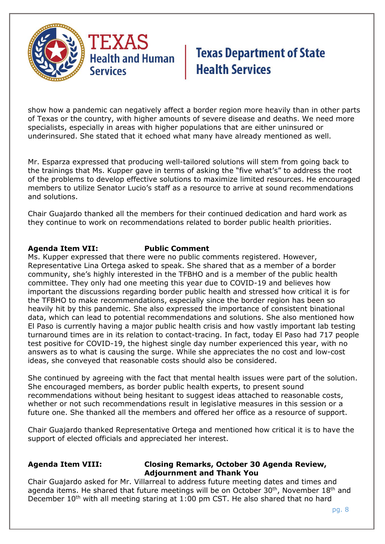

show how a pandemic can negatively affect a border region more heavily than in other parts of Texas or the country, with higher amounts of severe disease and deaths. We need more specialists, especially in areas with higher populations that are either uninsured or underinsured. She stated that it echoed what many have already mentioned as well.

Mr. Esparza expressed that producing well-tailored solutions will stem from going back to the trainings that Ms. Kupper gave in terms of asking the "five what's" to address the root of the problems to develop effective solutions to maximize limited resources. He encouraged members to utilize Senator Lucio's staff as a resource to arrive at sound recommendations and solutions.

Chair Guajardo thanked all the members for their continued dedication and hard work as they continue to work on recommendations related to border public health priorities.

#### **Agenda Item VII: Public Comment**

Ms. Kupper expressed that there were no public comments registered. However, Representative Lina Ortega asked to speak. She shared that as a member of a border community, she's highly interested in the TFBHO and is a member of the public health committee. They only had one meeting this year due to COVID-19 and believes how important the discussions regarding border public health and stressed how critical it is for the TFBHO to make recommendations, especially since the border region has been so heavily hit by this pandemic. She also expressed the importance of consistent binational data, which can lead to potential recommendations and solutions. She also mentioned how El Paso is currently having a major public health crisis and how vastly important lab testing turnaround times are in its relation to contact-tracing. In fact, today El Paso had 717 people test positive for COVID-19, the highest single day number experienced this year, with no answers as to what is causing the surge. While she appreciates the no cost and low-cost ideas, she conveyed that reasonable costs should also be considered.

She continued by agreeing with the fact that mental health issues were part of the solution. She encouraged members, as border public health experts, to present sound recommendations without being hesitant to suggest ideas attached to reasonable costs, whether or not such recommendations result in legislative measures in this session or a future one. She thanked all the members and offered her office as a resource of support.

Chair Guajardo thanked Representative Ortega and mentioned how critical it is to have the support of elected officials and appreciated her interest.

## **Agenda Item VIII: Closing Remarks, October 30 Agenda Review, Adjournment and Thank You**

Chair Guajardo asked for Mr. Villarreal to address future meeting dates and times and agenda items. He shared that future meetings will be on October  $30<sup>th</sup>$ , November  $18<sup>th</sup>$  and December  $10<sup>th</sup>$  with all meeting staring at 1:00 pm CST. He also shared that no hard